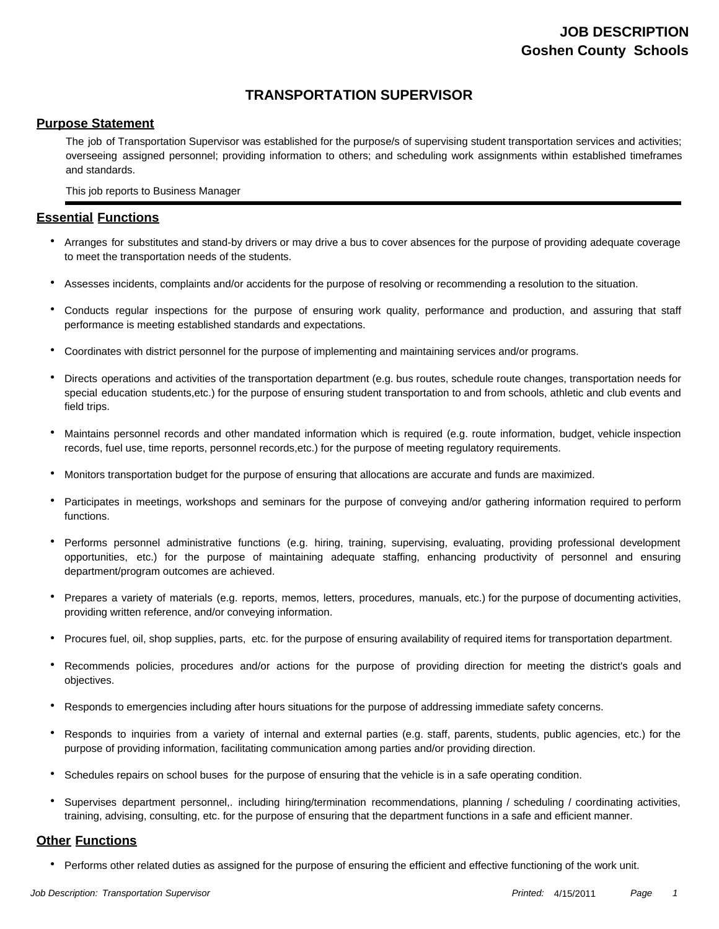# **TRANSPORTATION SUPERVISOR**

## **Purpose Statement**

The job of Transportation Supervisor was established for the purpose/s of supervising student transportation services and activities; overseeing assigned personnel; providing information to others; and scheduling work assignments within established timeframes and standards.

This job reports to Business Manager

## **Essential Functions**

- Arranges for substitutes and stand-by drivers or may drive a bus to cover absences for the purpose of providing adequate coverage to meet the transportation needs of the students.
- Assesses incidents, complaints and/or accidents for the purpose of resolving or recommending a resolution to the situation.
- Conducts regular inspections for the purpose of ensuring work quality, performance and production, and assuring that staff performance is meeting established standards and expectations.
- Coordinates with district personnel for the purpose of implementing and maintaining services and/or programs.
- Directs operations and activities of the transportation department (e.g. bus routes, schedule route changes, transportation needs for special education students,etc.) for the purpose of ensuring student transportation to and from schools, athletic and club events and field trips. •
- Maintains personnel records and other mandated information which is required (e.g. route information, budget, vehicle inspection records, fuel use, time reports, personnel records,etc.) for the purpose of meeting regulatory requirements.
- Monitors transportation budget for the purpose of ensuring that allocations are accurate and funds are maximized.
- Participates in meetings, workshops and seminars for the purpose of conveying and/or gathering information required to perform functions.
- Performs personnel administrative functions (e.g. hiring, training, supervising, evaluating, providing professional development opportunities, etc.) for the purpose of maintaining adequate staffing, enhancing productivity of personnel and ensuring department/program outcomes are achieved.
- Prepares a variety of materials (e.g. reports, memos, letters, procedures, manuals, etc.) for the purpose of documenting activities, providing written reference, and/or conveying information.
- Procures fuel, oil, shop supplies, parts, etc. for the purpose of ensuring availability of required items for transportation department.
- Recommends policies, procedures and/or actions for the purpose of providing direction for meeting the district's goals and objectives. •
- Responds to emergencies including after hours situations for the purpose of addressing immediate safety concerns.
- Responds to inquiries from a variety of internal and external parties (e.g. staff, parents, students, public agencies, etc.) for the purpose of providing information, facilitating communication among parties and/or providing direction.
- Schedules repairs on school buses for the purpose of ensuring that the vehicle is in a safe operating condition.
- Supervises department personnel,. including hiring/termination recommendations, planning / scheduling / coordinating activities, training, advising, consulting, etc. for the purpose of ensuring that the department functions in a safe and efficient manner. •

## **Other Functions**

• Performs other related duties as assigned for the purpose of ensuring the efficient and effective functioning of the work unit.